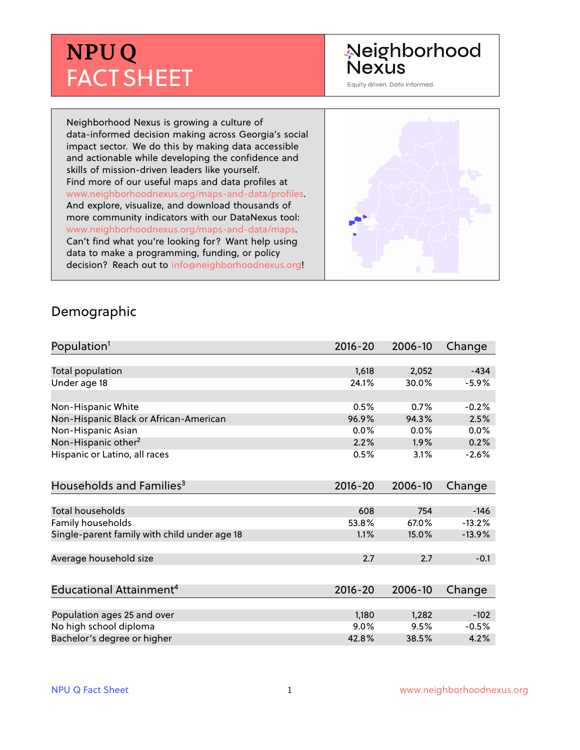# **NPU Q** FACT SHEET

## Neighborhood **Nexus**

Equity driven. Data informed.

Neighborhood Nexus is growing a culture of data-informed decision making across Georgia's social impact sector. We do this by making data accessible and actionable while developing the confidence and skills of mission-driven leaders like yourself. Find more of our useful maps and data profiles at www.neighborhoodnexus.org/maps-and-data/profiles. And explore, visualize, and download thousands of more community indicators with our DataNexus tool: www.neighborhoodnexus.org/maps-and-data/maps. Can't find what you're looking for? Want help using data to make a programming, funding, or policy decision? Reach out to [info@neighborhoodnexus.org!](mailto:info@neighborhoodnexus.org)



#### Demographic

| Population <sup>1</sup>                      | $2016 - 20$ | 2006-10 | Change   |
|----------------------------------------------|-------------|---------|----------|
|                                              |             |         |          |
| Total population                             | 1,618       | 2,052   | $-434$   |
| Under age 18                                 | 24.1%       | 30.0%   | $-5.9%$  |
|                                              |             |         |          |
| Non-Hispanic White                           | 0.5%        | 0.7%    | $-0.2%$  |
| Non-Hispanic Black or African-American       | 96.9%       | 94.3%   | 2.5%     |
| Non-Hispanic Asian                           | 0.0%        | 0.0%    | 0.0%     |
| Non-Hispanic other <sup>2</sup>              | 2.2%        | 1.9%    | 0.2%     |
| Hispanic or Latino, all races                | 0.5%        | 3.1%    | $-2.6%$  |
| Households and Families <sup>3</sup>         | $2016 - 20$ | 2006-10 | Change   |
|                                              |             |         |          |
| <b>Total households</b>                      | 608         | 754     | $-146$   |
| Family households                            | 53.8%       | 67.0%   | $-13.2%$ |
| Single-parent family with child under age 18 | 1.1%        | 15.0%   | $-13.9%$ |
| Average household size                       | 2.7         | 2.7     | $-0.1$   |
|                                              |             |         |          |
| Educational Attainment <sup>4</sup>          | 2016-20     | 2006-10 | Change   |
|                                              |             |         |          |
| Population ages 25 and over                  | 1,180       | 1,282   | $-102$   |
| No high school diploma                       | 9.0%        | 9.5%    | $-0.5%$  |
| Bachelor's degree or higher                  | 42.8%       | 38.5%   | 4.2%     |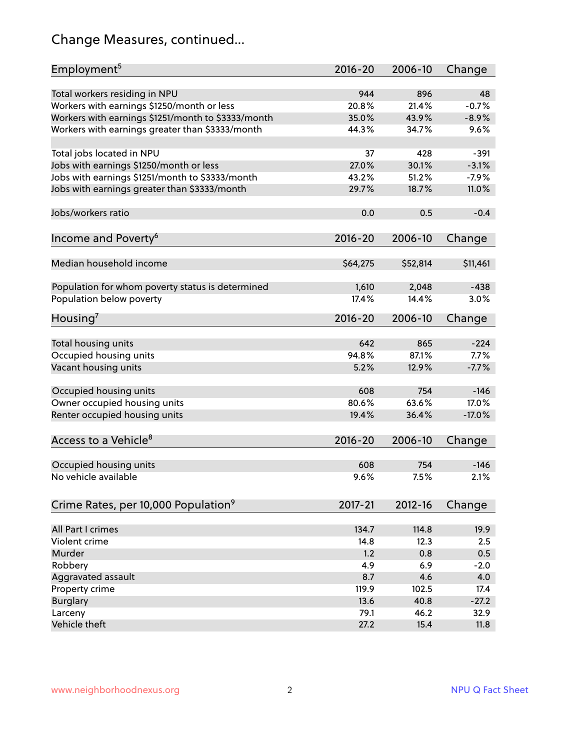# Change Measures, continued...

| Employment <sup>5</sup>                            | $2016 - 20$ | 2006-10     | Change   |
|----------------------------------------------------|-------------|-------------|----------|
|                                                    |             |             |          |
| Total workers residing in NPU                      | 944         | 896         | 48       |
| Workers with earnings \$1250/month or less         | 20.8%       | 21.4%       | $-0.7%$  |
| Workers with earnings \$1251/month to \$3333/month | 35.0%       | 43.9%       | $-8.9%$  |
| Workers with earnings greater than \$3333/month    | 44.3%       | 34.7%       | 9.6%     |
| Total jobs located in NPU                          | 37          | 428         | $-391$   |
| Jobs with earnings \$1250/month or less            | 27.0%       | 30.1%       | $-3.1%$  |
| Jobs with earnings \$1251/month to \$3333/month    | 43.2%       | 51.2%       | $-7.9%$  |
| Jobs with earnings greater than \$3333/month       | 29.7%       | 18.7%       | 11.0%    |
|                                                    |             |             |          |
| Jobs/workers ratio                                 | 0.0         | 0.5         | $-0.4$   |
|                                                    | $2016 - 20$ |             |          |
| Income and Poverty <sup>6</sup>                    |             | 2006-10     | Change   |
| Median household income                            | \$64,275    | \$52,814    | \$11,461 |
|                                                    |             |             |          |
| Population for whom poverty status is determined   | 1,610       | 2,048       | $-438$   |
| Population below poverty                           | 17.4%       | 14.4%       | 3.0%     |
| Housing <sup>7</sup>                               | 2016-20     | 2006-10     | Change   |
|                                                    |             |             |          |
| Total housing units                                | 642         | 865         | $-224$   |
| Occupied housing units                             | 94.8%       | 87.1%       | 7.7%     |
| Vacant housing units                               | 5.2%        | 12.9%       | $-7.7%$  |
|                                                    |             |             |          |
| Occupied housing units                             | 608         | 754         | $-146$   |
| Owner occupied housing units                       | 80.6%       | 63.6%       | 17.0%    |
| Renter occupied housing units                      | 19.4%       | 36.4%       | $-17.0%$ |
|                                                    |             |             |          |
| Access to a Vehicle <sup>8</sup>                   | $2016 - 20$ | 2006-10     | Change   |
|                                                    |             |             |          |
| Occupied housing units                             | 608         | 754         | $-146$   |
| No vehicle available                               | 9.6%        | 7.5%        | 2.1%     |
| Crime Rates, per 10,000 Population <sup>9</sup>    | 2017-21     | $2012 - 16$ | Change   |
|                                                    |             |             |          |
| All Part I crimes                                  | 134.7       | 114.8       | 19.9     |
| Violent crime                                      | 14.8        | 12.3        | 2.5      |
| Murder                                             | 1.2         | 0.8         | 0.5      |
| Robbery                                            | 4.9         | 6.9         | $-2.0$   |
| Aggravated assault                                 | 8.7         | 4.6         | 4.0      |
| Property crime                                     | 119.9       | 102.5       | 17.4     |
| <b>Burglary</b>                                    | 13.6        | 40.8        | $-27.2$  |
| Larceny                                            | 79.1        | 46.2        | 32.9     |
| Vehicle theft                                      | 27.2        | 15.4        | 11.8     |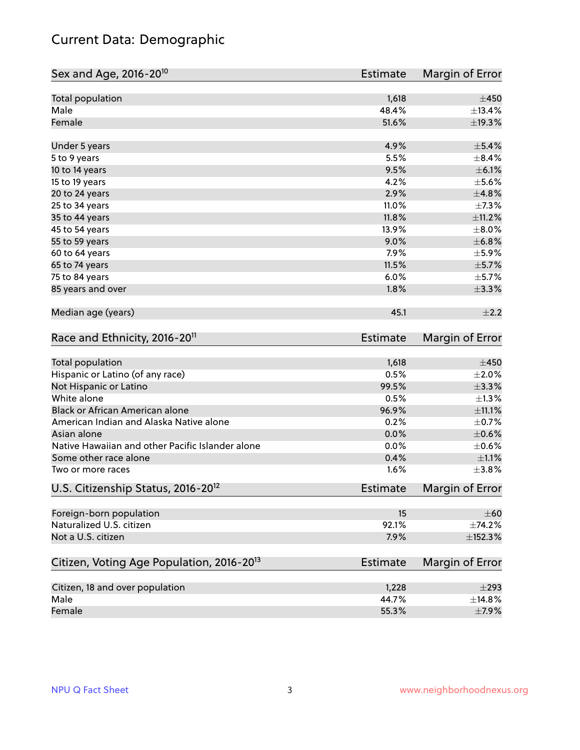# Current Data: Demographic

| Sex and Age, 2016-20 <sup>10</sup>                    | <b>Estimate</b> | Margin of Error |
|-------------------------------------------------------|-----------------|-----------------|
| Total population                                      | 1,618           | $\pm 450$       |
| Male                                                  | 48.4%           | ±13.4%          |
| Female                                                | 51.6%           | ±19.3%          |
| Under 5 years                                         | 4.9%            | $\pm$ 5.4%      |
| 5 to 9 years                                          | 5.5%            | $\pm$ 8.4%      |
| 10 to 14 years                                        | 9.5%            | $\pm$ 6.1%      |
| 15 to 19 years                                        | 4.2%            | $\pm$ 5.6%      |
| 20 to 24 years                                        | 2.9%            | ±4.8%           |
| 25 to 34 years                                        | 11.0%           | $\pm$ 7.3%      |
| 35 to 44 years                                        | 11.8%           | ±11.2%          |
| 45 to 54 years                                        | 13.9%           | $\pm 8.0\%$     |
| 55 to 59 years                                        | 9.0%            | ±6.8%           |
| 60 to 64 years                                        | 7.9%            | $\pm$ 5.9%      |
| 65 to 74 years                                        | 11.5%           | $\pm$ 5.7%      |
| 75 to 84 years                                        | 6.0%            | $\pm$ 5.7%      |
| 85 years and over                                     | 1.8%            | $\pm$ 3.3%      |
| Median age (years)                                    | 45.1            | $\pm 2.2$       |
| Race and Ethnicity, 2016-20 <sup>11</sup>             | <b>Estimate</b> | Margin of Error |
| <b>Total population</b>                               | 1,618           | $\pm 450$       |
| Hispanic or Latino (of any race)                      | 0.5%            | $\pm 2.0\%$     |
| Not Hispanic or Latino                                | 99.5%           | ±3.3%           |
| White alone                                           | 0.5%            | $\pm 1.3\%$     |
| Black or African American alone                       | 96.9%           | ±11.1%          |
| American Indian and Alaska Native alone               | 0.2%            | $\pm$ 0.7%      |
| Asian alone                                           | 0.0%            | $\pm$ 0.6%      |
| Native Hawaiian and other Pacific Islander alone      | 0.0%            | $\pm$ 0.6%      |
| Some other race alone                                 | 0.4%            | $\pm 1.1\%$     |
| Two or more races                                     | 1.6%            | $\pm$ 3.8%      |
| U.S. Citizenship Status, 2016-20 <sup>12</sup>        | <b>Estimate</b> | Margin of Error |
| Foreign-born population                               | 15              | $\pm 60$        |
| Naturalized U.S. citizen                              | 92.1%           | ±74.2%          |
| Not a U.S. citizen                                    | 7.9%            | ±152.3%         |
| Citizen, Voting Age Population, 2016-20 <sup>13</sup> | Estimate        | Margin of Error |
| Citizen, 18 and over population                       | 1,228           | $\pm 293$       |
| Male                                                  | 44.7%           | ±14.8%          |
| Female                                                | 55.3%           | $\pm$ 7.9%      |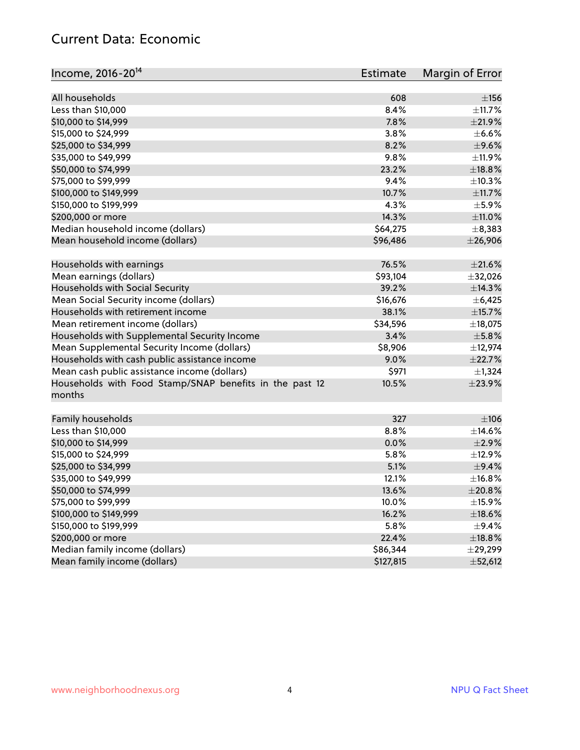#### Current Data: Economic

| Income, 2016-20 <sup>14</sup><br>Estimate                                  | Margin of Error |
|----------------------------------------------------------------------------|-----------------|
| All households<br>608                                                      | $\pm$ 156       |
| Less than \$10,000<br>8.4%                                                 | $\pm$ 11.7%     |
| 7.8%<br>\$10,000 to \$14,999                                               | $\pm 21.9\%$    |
| \$15,000 to \$24,999<br>3.8%                                               | $\pm$ 6.6%      |
| 8.2%                                                                       | $\pm$ 9.6%      |
| \$25,000 to \$34,999                                                       |                 |
| 9.8%<br>\$35,000 to \$49,999                                               | ±11.9%          |
| \$50,000 to \$74,999<br>23.2%                                              | ±18.8%          |
| \$75,000 to \$99,999<br>9.4%                                               | ±10.3%          |
| \$100,000 to \$149,999<br>10.7%                                            | ±11.7%          |
| 4.3%<br>\$150,000 to \$199,999                                             | $\pm$ 5.9%      |
| \$200,000 or more<br>14.3%                                                 | ±11.0%          |
| Median household income (dollars)<br>\$64,275                              | $\pm$ 8,383     |
| Mean household income (dollars)<br>\$96,486                                | $±$ 26,906      |
| 76.5%<br>Households with earnings                                          | $\pm 21.6\%$    |
| Mean earnings (dollars)<br>\$93,104                                        | ±32,026         |
| Households with Social Security<br>39.2%                                   | ±14.3%          |
| Mean Social Security income (dollars)<br>\$16,676                          | ±6,425          |
| Households with retirement income<br>38.1%                                 | ±15.7%          |
| Mean retirement income (dollars)<br>\$34,596                               | ±18,075         |
| Households with Supplemental Security Income<br>3.4%                       | $\pm$ 5.8%      |
| \$8,906<br>Mean Supplemental Security Income (dollars)                     | ±12,974         |
| Households with cash public assistance income<br>9.0%                      | ±22.7%          |
| Mean cash public assistance income (dollars)<br>\$971                      | $\pm$ 1,324     |
| Households with Food Stamp/SNAP benefits in the past 12<br>10.5%<br>months | ±23.9%          |
| Family households<br>327                                                   | $\pm 106$       |
| Less than \$10,000<br>8.8%                                                 | $\pm$ 14.6%     |
| \$10,000 to \$14,999<br>0.0%                                               | $\pm 2.9\%$     |
| \$15,000 to \$24,999<br>5.8%                                               | ±12.9%          |
| \$25,000 to \$34,999<br>5.1%                                               | $\pm$ 9.4%      |
| \$35,000 to \$49,999<br>12.1%                                              | ±16.8%          |
| \$50,000 to \$74,999<br>13.6%                                              | $\pm 20.8\%$    |
| \$75,000 to \$99,999<br>10.0%                                              | $\pm$ 15.9%     |
| \$100,000 to \$149,999<br>16.2%                                            | ±18.6%          |
| \$150,000 to \$199,999<br>5.8%                                             | $\pm$ 9.4%      |
| \$200,000 or more<br>22.4%                                                 | $\pm$ 18.8%     |
| Median family income (dollars)<br>\$86,344                                 | $\pm 29,299$    |
| Mean family income (dollars)<br>\$127,815                                  | ±52,612         |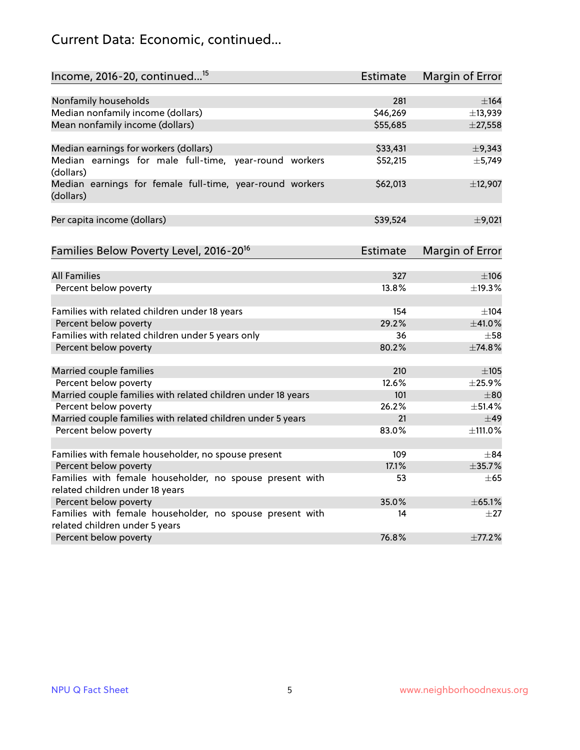# Current Data: Economic, continued...

| Income, 2016-20, continued <sup>15</sup>                              | <b>Estimate</b> | <b>Margin of Error</b> |
|-----------------------------------------------------------------------|-----------------|------------------------|
|                                                                       |                 |                        |
| Nonfamily households                                                  | 281             | $\pm$ 164              |
| Median nonfamily income (dollars)                                     | \$46,269        | ±13,939                |
| Mean nonfamily income (dollars)                                       | \$55,685        | $±$ 27,558             |
| Median earnings for workers (dollars)                                 | \$33,431        | $\pm$ 9,343            |
| Median earnings for male full-time, year-round workers                | \$52,215        | ±5,749                 |
| (dollars)                                                             |                 |                        |
| Median earnings for female full-time, year-round workers<br>(dollars) | \$62,013        | ±12,907                |
| Per capita income (dollars)                                           | \$39,524        | $\pm$ 9,021            |
|                                                                       |                 |                        |
| Families Below Poverty Level, 2016-20 <sup>16</sup>                   | <b>Estimate</b> | <b>Margin of Error</b> |
| <b>All Families</b>                                                   | 327             | $\pm 106$              |
| Percent below poverty                                                 | 13.8%           | ±19.3%                 |
|                                                                       |                 |                        |
| Families with related children under 18 years                         | 154             | $\pm$ 104              |
| Percent below poverty                                                 | 29.2%           | ±41.0%                 |
| Families with related children under 5 years only                     | 36              | $\pm$ 58               |
| Percent below poverty                                                 | 80.2%           | ±74.8%                 |
| Married couple families                                               | 210             | $\pm 105$              |
| Percent below poverty                                                 | 12.6%           | ±25.9%                 |
| Married couple families with related children under 18 years          | 101             | $\pm$ 80               |
| Percent below poverty                                                 | 26.2%           | ±51.4%                 |
| Married couple families with related children under 5 years           | 21              | $\pm$ 49               |
| Percent below poverty                                                 | 83.0%           | ±111.0%                |
|                                                                       |                 |                        |
| Families with female householder, no spouse present                   | 109             | $\pm$ 84               |
| Percent below poverty                                                 | 17.1%           | ±35.7%                 |
| Families with female householder, no spouse present with              | 53              | $\pm 65$               |
| related children under 18 years                                       |                 |                        |
| Percent below poverty                                                 | 35.0%           | ±65.1%                 |
| Families with female householder, no spouse present with              | 14              | $\pm 27$               |
| related children under 5 years                                        |                 |                        |
| Percent below poverty                                                 | 76.8%           | ±77.2%                 |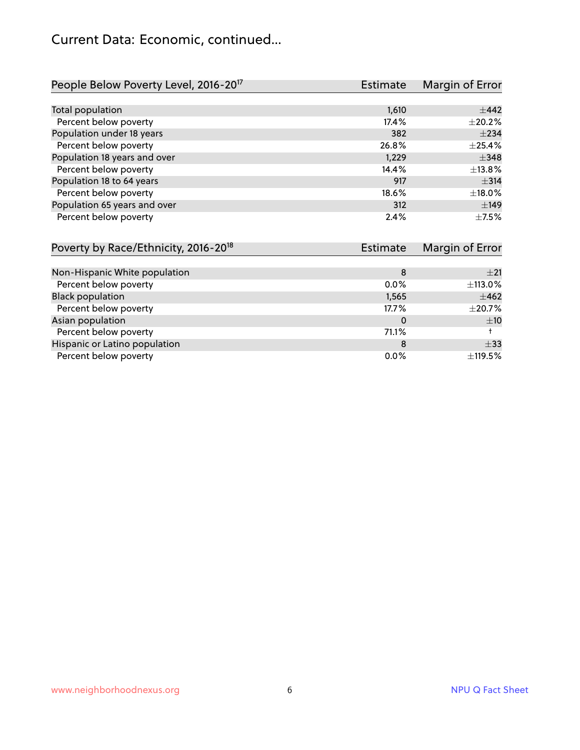### Current Data: Economic, continued...

| People Below Poverty Level, 2016-20 <sup>17</sup> | <b>Estimate</b> | Margin of Error |
|---------------------------------------------------|-----------------|-----------------|
|                                                   |                 |                 |
| Total population                                  | 1,610           | $\pm$ 442       |
| Percent below poverty                             | 17.4%           | $\pm 20.2\%$    |
| Population under 18 years                         | 382             | $\pm 234$       |
| Percent below poverty                             | 26.8%           | $\pm$ 25.4%     |
| Population 18 years and over                      | 1,229           | $\pm$ 348       |
| Percent below poverty                             | 14.4%           | ±13.8%          |
| Population 18 to 64 years                         | 917             | $\pm$ 314       |
| Percent below poverty                             | 18.6%           | ±18.0%          |
| Population 65 years and over                      | 312             | ±149            |
| Percent below poverty                             | 2.4%            | $\pm$ 7.5%      |

| Poverty by Race/Ethnicity, 2016-20 <sup>18</sup> | Estimate | Margin of Error |
|--------------------------------------------------|----------|-----------------|
|                                                  |          |                 |
| Non-Hispanic White population                    | 8        | $+21$           |
| Percent below poverty                            | $0.0\%$  | ±113.0%         |
| <b>Black population</b>                          | 1,565    | $\pm 462$       |
| Percent below poverty                            | 17.7%    | $\pm 20.7\%$    |
| Asian population                                 | 0        | ±10             |
| Percent below poverty                            | 71.1%    |                 |
| Hispanic or Latino population                    | 8        | $\pm$ 33        |
| Percent below poverty                            | 0.0%     | ±119.5%         |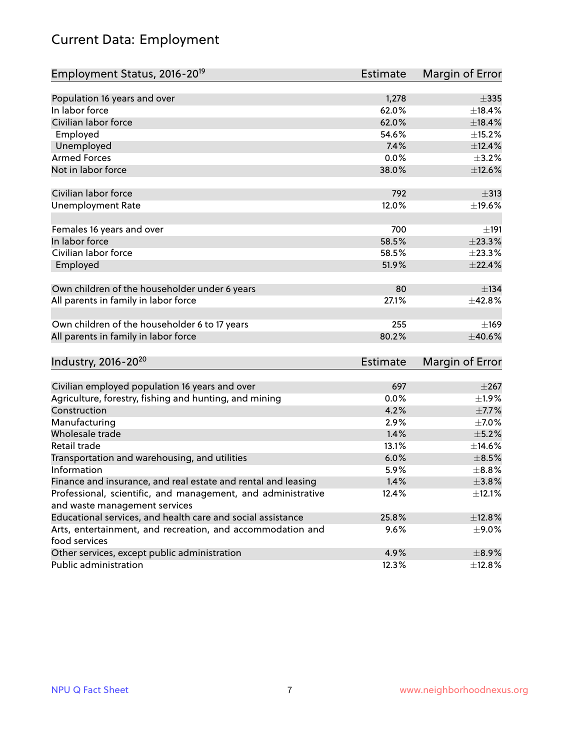# Current Data: Employment

| Employment Status, 2016-20 <sup>19</sup>                      | <b>Estimate</b> | Margin of Error |
|---------------------------------------------------------------|-----------------|-----------------|
|                                                               |                 |                 |
| Population 16 years and over                                  | 1,278           | $\pm 335$       |
| In labor force                                                | 62.0%           | ±18.4%          |
| Civilian labor force                                          | 62.0%           | $\pm$ 18.4%     |
| Employed                                                      | 54.6%           | ±15.2%          |
| Unemployed                                                    | 7.4%            | ±12.4%          |
| <b>Armed Forces</b>                                           | 0.0%            | $\pm$ 3.2%      |
| Not in labor force                                            | 38.0%           | ±12.6%          |
| Civilian labor force                                          | 792             | $\pm$ 313       |
| <b>Unemployment Rate</b>                                      | 12.0%           | ±19.6%          |
|                                                               |                 |                 |
| Females 16 years and over                                     | 700             | ±191            |
| In labor force                                                | 58.5%           | ±23.3%          |
| Civilian labor force                                          | 58.5%           | ±23.3%          |
| Employed                                                      | 51.9%           | ±22.4%          |
| Own children of the householder under 6 years                 | 80              | ±134            |
| All parents in family in labor force                          | 27.1%           | ±42.8%          |
|                                                               |                 |                 |
| Own children of the householder 6 to 17 years                 | 255             | $\pm$ 169       |
| All parents in family in labor force                          | 80.2%           | ±40.6%          |
|                                                               |                 |                 |
| Industry, 2016-20 <sup>20</sup>                               | Estimate        | Margin of Error |
| Civilian employed population 16 years and over                | 697             | $\pm 267$       |
| Agriculture, forestry, fishing and hunting, and mining        | 0.0%            | $\pm$ 1.9%      |
| Construction                                                  | 4.2%            | $\pm$ 7.7%      |
| Manufacturing                                                 | 2.9%            | $\pm$ 7.0%      |
| Wholesale trade                                               | 1.4%            | $\pm$ 5.2%      |
| Retail trade                                                  | 13.1%           | ±14.6%          |
| Transportation and warehousing, and utilities                 | 6.0%            | $\pm$ 8.5%      |
| Information                                                   | 5.9%            | $\pm$ 8.8%      |
| Finance and insurance, and real estate and rental and leasing | 1.4%            | $\pm$ 3.8%      |
| Professional, scientific, and management, and administrative  | 12.4%           | $\pm$ 12.1%     |
| and waste management services                                 |                 |                 |
| Educational services, and health care and social assistance   | 25.8%           | ±12.8%          |
| Arts, entertainment, and recreation, and accommodation and    | $9.6\%$         | $\pm$ 9.0%      |
| food services                                                 |                 |                 |
| Other services, except public administration                  | 4.9%            | $\pm$ 8.9%      |
| Public administration                                         | 12.3%           | ±12.8%          |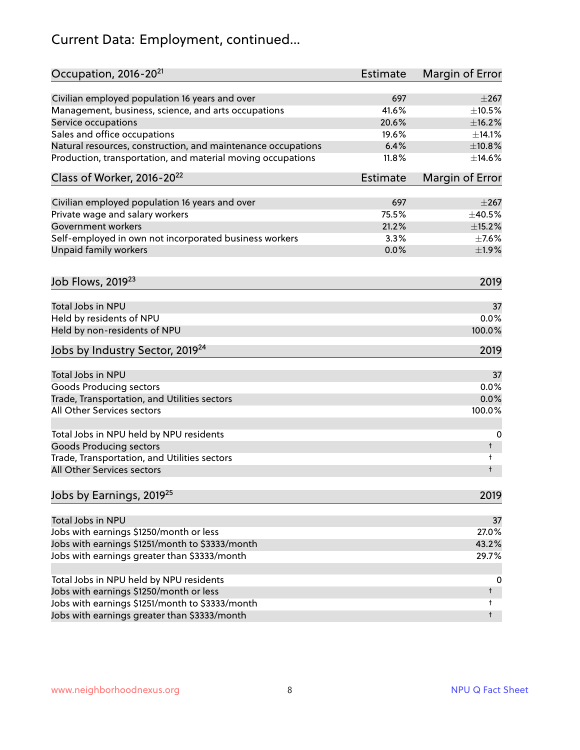# Current Data: Employment, continued...

| Occupation, 2016-20 <sup>21</sup>                            | Estimate        | Margin of Error |
|--------------------------------------------------------------|-----------------|-----------------|
| Civilian employed population 16 years and over               | 697             | $\pm 267$       |
| Management, business, science, and arts occupations          | 41.6%           | $\pm$ 10.5%     |
| Service occupations                                          | 20.6%           | ±16.2%          |
| Sales and office occupations                                 | 19.6%           | ±14.1%          |
| Natural resources, construction, and maintenance occupations | 6.4%            | ±10.8%          |
| Production, transportation, and material moving occupations  | 11.8%           | ±14.6%          |
| Class of Worker, 2016-20 <sup>22</sup>                       | <b>Estimate</b> | Margin of Error |
|                                                              |                 |                 |
| Civilian employed population 16 years and over               | 697             | $\pm 267$       |
| Private wage and salary workers                              | 75.5%           | ±40.5%          |
| Government workers                                           | 21.2%           | $\pm$ 15.2%     |
| Self-employed in own not incorporated business workers       | 3.3%            | $\pm$ 7.6%      |
| Unpaid family workers                                        | 0.0%            | ±1.9%           |
| Job Flows, 2019 <sup>23</sup>                                |                 | 2019            |
| Total Jobs in NPU                                            |                 | 37              |
|                                                              |                 | 0.0%            |
| Held by residents of NPU                                     |                 |                 |
| Held by non-residents of NPU                                 |                 | 100.0%          |
| Jobs by Industry Sector, 2019 <sup>24</sup>                  |                 | 2019            |
| Total Jobs in NPU                                            |                 | 37              |
| <b>Goods Producing sectors</b>                               |                 | 0.0%            |
| Trade, Transportation, and Utilities sectors                 |                 | 0.0%            |
| All Other Services sectors                                   |                 | 100.0%          |
|                                                              |                 |                 |
| Total Jobs in NPU held by NPU residents                      |                 | 0               |
| <b>Goods Producing sectors</b>                               |                 | t               |
| Trade, Transportation, and Utilities sectors                 |                 | t               |
| All Other Services sectors                                   |                 | t               |
| Jobs by Earnings, 2019 <sup>25</sup>                         |                 | 2019            |
| Total Jobs in NPU                                            |                 | 37              |
|                                                              |                 |                 |
| Jobs with earnings \$1250/month or less                      |                 | 27.0%           |
| Jobs with earnings \$1251/month to \$3333/month              |                 | 43.2%           |
| Jobs with earnings greater than \$3333/month                 |                 | 29.7%           |
| Total Jobs in NPU held by NPU residents                      |                 | 0               |
| Jobs with earnings \$1250/month or less                      |                 | t               |
| Jobs with earnings \$1251/month to \$3333/month              |                 | t               |
| Jobs with earnings greater than \$3333/month                 |                 | $\ddagger$      |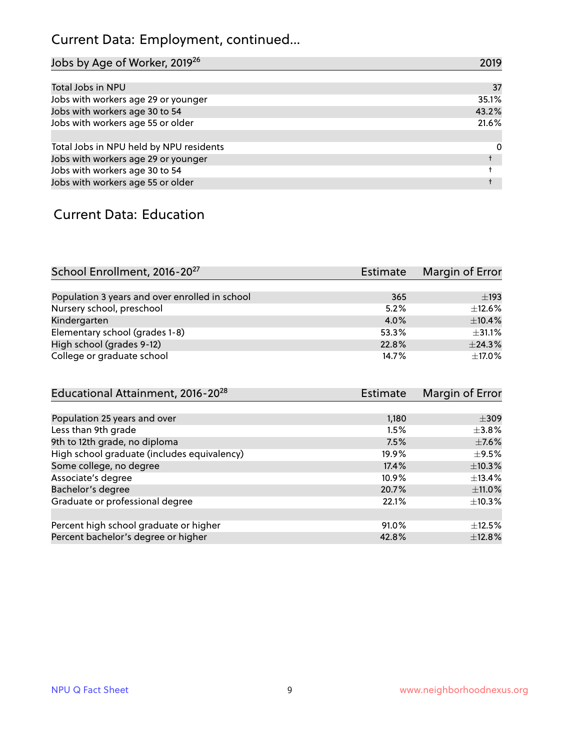# Current Data: Employment, continued...

| Jobs by Age of Worker, 2019 <sup>26</sup> | 2019  |
|-------------------------------------------|-------|
|                                           |       |
| Total Jobs in NPU                         | 37    |
| Jobs with workers age 29 or younger       | 35.1% |
| Jobs with workers age 30 to 54            | 43.2% |
| Jobs with workers age 55 or older         | 21.6% |
|                                           |       |
| Total Jobs in NPU held by NPU residents   | 0     |
| Jobs with workers age 29 or younger       |       |
| Jobs with workers age 30 to 54            |       |
| Jobs with workers age 55 or older         |       |

#### Current Data: Education

| School Enrollment, 2016-20 <sup>27</sup>       | Estimate | Margin of Error |
|------------------------------------------------|----------|-----------------|
|                                                |          |                 |
| Population 3 years and over enrolled in school | 365      | $\pm$ 193       |
| Nursery school, preschool                      | 5.2%     | $\pm$ 12.6%     |
| Kindergarten                                   | 4.0%     | $+10.4%$        |
| Elementary school (grades 1-8)                 | 53.3%    | $\pm$ 31.1%     |
| High school (grades 9-12)                      | 22.8%    | ±24.3%          |
| College or graduate school                     | 14.7%    | $\pm$ 17.0%     |

| Educational Attainment, 2016-20 <sup>28</sup> | <b>Estimate</b> | Margin of Error |
|-----------------------------------------------|-----------------|-----------------|
|                                               |                 |                 |
| Population 25 years and over                  | 1,180           | $\pm 309$       |
| Less than 9th grade                           | 1.5%            | $\pm$ 3.8%      |
| 9th to 12th grade, no diploma                 | 7.5%            | $\pm$ 7.6%      |
| High school graduate (includes equivalency)   | 19.9%           | $\pm$ 9.5%      |
| Some college, no degree                       | 17.4%           | ±10.3%          |
| Associate's degree                            | 10.9%           | $\pm$ 13.4%     |
| Bachelor's degree                             | 20.7%           | ±11.0%          |
| Graduate or professional degree               | 22.1%           | $\pm$ 10.3%     |
|                                               |                 |                 |
| Percent high school graduate or higher        | 91.0%           | $\pm$ 12.5%     |
| Percent bachelor's degree or higher           | 42.8%           | ±12.8%          |
|                                               |                 |                 |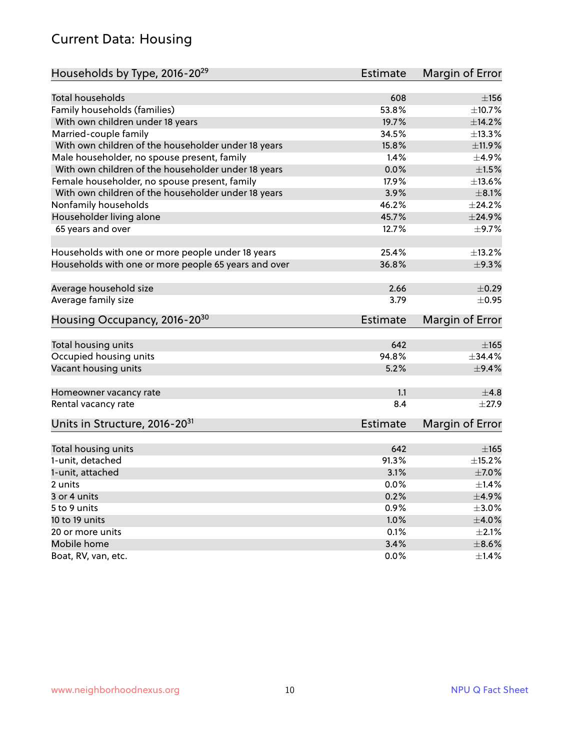### Current Data: Housing

| Households by Type, 2016-20 <sup>29</sup>            | <b>Estimate</b> | Margin of Error |
|------------------------------------------------------|-----------------|-----------------|
|                                                      |                 |                 |
| <b>Total households</b>                              | 608             | ±156            |
| Family households (families)                         | 53.8%           | ±10.7%          |
| With own children under 18 years                     | 19.7%           | ±14.2%          |
| Married-couple family                                | 34.5%           | ±13.3%          |
| With own children of the householder under 18 years  | 15.8%           | ±11.9%          |
| Male householder, no spouse present, family          | 1.4%            | $\pm$ 4.9%      |
| With own children of the householder under 18 years  | 0.0%            | $\pm1.5\%$      |
| Female householder, no spouse present, family        | 17.9%           | ±13.6%          |
| With own children of the householder under 18 years  | 3.9%            | $\pm 8.1\%$     |
| Nonfamily households                                 | 46.2%           | ±24.2%          |
| Householder living alone                             | 45.7%           | ±24.9%          |
| 65 years and over                                    | 12.7%           | $\pm$ 9.7%      |
|                                                      |                 |                 |
| Households with one or more people under 18 years    | 25.4%           | ±13.2%          |
| Households with one or more people 65 years and over | 36.8%           | $\pm$ 9.3%      |
|                                                      |                 |                 |
| Average household size                               | 2.66            | $\pm$ 0.29      |
| Average family size                                  | 3.79            | $\pm$ 0.95      |
| Housing Occupancy, 2016-20 <sup>30</sup>             | <b>Estimate</b> | Margin of Error |
| Total housing units                                  | 642             | $\pm 165$       |
| Occupied housing units                               | 94.8%           | ±34.4%          |
| Vacant housing units                                 | 5.2%            | $\pm$ 9.4%      |
|                                                      |                 |                 |
| Homeowner vacancy rate                               | 1.1             | ±4.8            |
| Rental vacancy rate                                  | 8.4             | $\pm 27.9$      |
| Units in Structure, 2016-20 <sup>31</sup>            | Estimate        | Margin of Error |
|                                                      |                 |                 |
| Total housing units                                  | 642             | $\pm 165$       |
| 1-unit, detached                                     | 91.3%           | $\pm$ 15.2%     |
| 1-unit, attached                                     | 3.1%            | $\pm$ 7.0%      |
| 2 units                                              | 0.0%            | $\pm$ 1.4%      |
| 3 or 4 units                                         | 0.2%            | $\pm$ 4.9%      |
| 5 to 9 units                                         | 0.9%            | $\pm 3.0\%$     |
| 10 to 19 units                                       | 1.0%            | $\pm 4.0\%$     |
| 20 or more units                                     | 0.1%            | $\pm 2.1\%$     |
| Mobile home                                          | 3.4%            | $\pm$ 8.6%      |
| Boat, RV, van, etc.                                  | $0.0\%$         | ±1.4%           |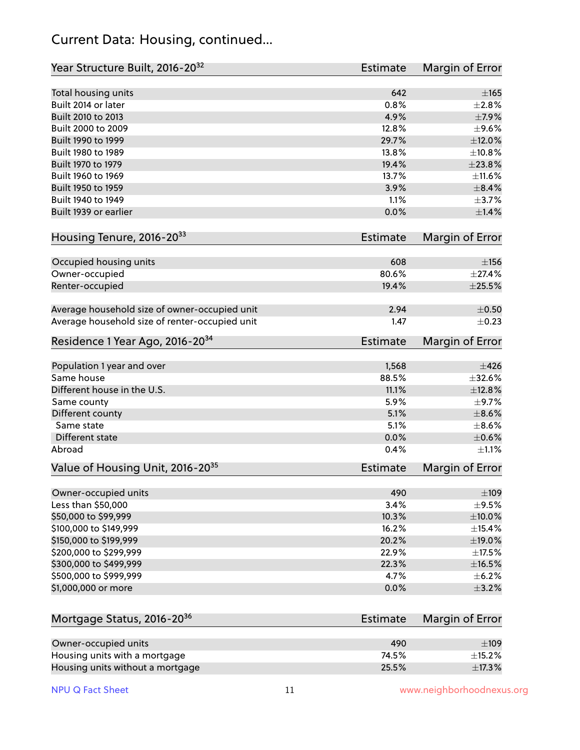#### Current Data: Housing, continued...

| Year Structure Built, 2016-20 <sup>32</sup>    | Estimate        | <b>Margin of Error</b> |
|------------------------------------------------|-----------------|------------------------|
| Total housing units                            | 642             | $\pm$ 165              |
| Built 2014 or later                            | 0.8%            | ±2.8%                  |
| Built 2010 to 2013                             | 4.9%            | $\pm$ 7.9%             |
| Built 2000 to 2009                             | 12.8%           | $\pm$ 9.6%             |
| Built 1990 to 1999                             | 29.7%           | $\pm$ 12.0%            |
| Built 1980 to 1989                             | 13.8%           | ±10.8%                 |
| Built 1970 to 1979                             | 19.4%           | ±23.8%                 |
| Built 1960 to 1969                             | 13.7%           | ±11.6%                 |
| Built 1950 to 1959                             | 3.9%            | $\pm$ 8.4%             |
| Built 1940 to 1949                             | 1.1%            | $\pm$ 3.7%             |
| Built 1939 or earlier                          | 0.0%            | $\pm$ 1.4%             |
| Housing Tenure, 2016-2033                      | Estimate        | Margin of Error        |
| Occupied housing units                         | 608             | $\pm$ 156              |
| Owner-occupied                                 | 80.6%           | ±27.4%                 |
| Renter-occupied                                | 19.4%           | ±25.5%                 |
| Average household size of owner-occupied unit  | 2.94            | $\pm$ 0.50             |
| Average household size of renter-occupied unit | 1.47            | $\pm$ 0.23             |
| Residence 1 Year Ago, 2016-20 <sup>34</sup>    | <b>Estimate</b> | <b>Margin of Error</b> |
| Population 1 year and over                     | 1,568           | $\pm 426$              |
| Same house                                     | 88.5%           | ±32.6%                 |
| Different house in the U.S.                    | 11.1%           | ±12.8%                 |
| Same county                                    | 5.9%            | $\pm$ 9.7%             |
| Different county                               | 5.1%            | $\pm$ 8.6%             |
| Same state                                     | 5.1%            | $\pm$ 8.6%             |
| Different state                                | 0.0%            | $\pm$ 0.6%             |
| Abroad                                         | 0.4%            | $\pm 1.1\%$            |
| Value of Housing Unit, 2016-20 <sup>35</sup>   | <b>Estimate</b> | Margin of Error        |
| Owner-occupied units                           | 490             | $\pm$ 109              |
| Less than \$50,000                             | 3.4%            | $\pm$ 9.5%             |
| \$50,000 to \$99,999                           | 10.3%           | ±10.0%                 |
| \$100,000 to \$149,999                         | 16.2%           | ±15.4%                 |
| \$150,000 to \$199,999                         | 20.2%           | $\pm$ 19.0%            |
| \$200,000 to \$299,999                         | 22.9%           | $\pm$ 17.5%            |
| \$300,000 to \$499,999                         | 22.3%           | $\pm$ 16.5%            |
| \$500,000 to \$999,999                         | 4.7%            | ±6.2%                  |
| \$1,000,000 or more                            | 0.0%            | $\pm$ 3.2%             |
| Mortgage Status, 2016-20 <sup>36</sup>         | Estimate        | Margin of Error        |
| Owner-occupied units                           | 490             | $\pm$ 109              |
| Housing units with a mortgage                  | 74.5%           | $\pm$ 15.2%            |

Housing units without a mortgage  $\pm 17.3\, \%$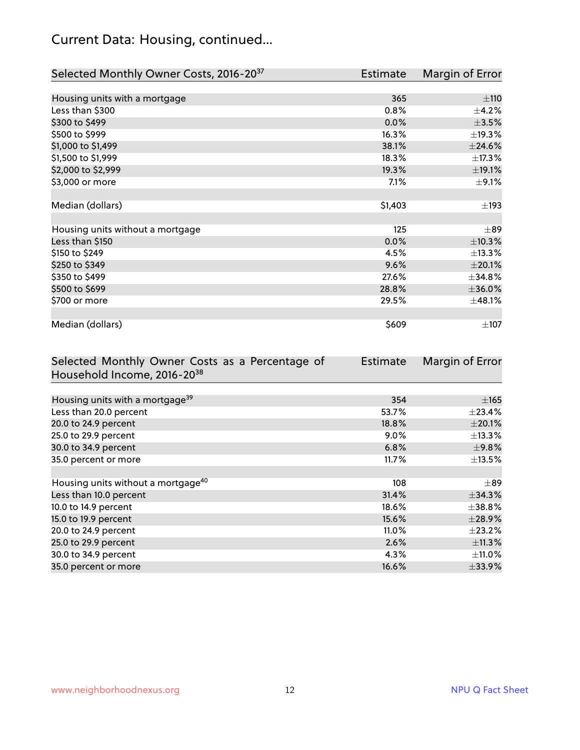# Current Data: Housing, continued...

| Selected Monthly Owner Costs, 2016-20 <sup>37</sup> | <b>Estimate</b> | Margin of Error |
|-----------------------------------------------------|-----------------|-----------------|
|                                                     |                 |                 |
| Housing units with a mortgage                       | 365             | ±110            |
| Less than \$300                                     | 0.8%            | $\pm$ 4.2%      |
| \$300 to \$499                                      | 0.0%            | $\pm$ 3.5%      |
| \$500 to \$999                                      | 16.3%           | ±19.3%          |
| \$1,000 to \$1,499                                  | 38.1%           | ±24.6%          |
| \$1,500 to \$1,999                                  | 18.3%           | ±17.3%          |
| \$2,000 to \$2,999                                  | 19.3%           | ±19.1%          |
| \$3,000 or more                                     | 7.1%            | $\pm$ 9.1%      |
|                                                     |                 |                 |
| Median (dollars)                                    | \$1,403         | $\pm$ 193       |
|                                                     |                 |                 |
| Housing units without a mortgage                    | 125             | $\pm$ 89        |
| Less than \$150                                     | 0.0%            | ±10.3%          |
| \$150 to \$249                                      | 4.5%            | ±13.3%          |
| \$250 to \$349                                      | 9.6%            | $\pm 20.1\%$    |
| \$350 to \$499                                      | 27.6%           | $\pm$ 34.8%     |
| \$500 to \$699                                      | 28.8%           | ±36.0%          |
| \$700 or more                                       | 29.5%           | ±48.1%          |
|                                                     |                 |                 |
| Median (dollars)                                    | \$609           | $\pm$ 107       |

| Selected Monthly Owner Costs as a Percentage of | <b>Estimate</b> | Margin of Error |
|-------------------------------------------------|-----------------|-----------------|
| Household Income, 2016-2038                     |                 |                 |
|                                                 |                 |                 |
| Housing units with a mortgage <sup>39</sup>     | 354             | $\pm$ 165       |
| Less than 20.0 percent                          | 53.7%           | $\pm$ 23.4%     |
| 20.0 to 24.9 percent                            | 18.8%           | $\pm 20.1\%$    |
| 25.0 to 29.9 percent                            | $9.0\%$         | $\pm$ 13.3%     |
| 30.0 to 34.9 percent                            | 6.8%            | ±9.8%           |
| 35.0 percent or more                            | 11.7%           | $\pm$ 13.5%     |
|                                                 |                 |                 |
| Housing units without a mortgage <sup>40</sup>  | 108             | $\pm$ 89        |
| Less than 10.0 percent                          | 31.4%           | $\pm$ 34.3%     |
| 10.0 to 14.9 percent                            | 18.6%           | $\pm$ 38.8%     |
| 15.0 to 19.9 percent                            | 15.6%           | ±28.9%          |
| 20.0 to 24.9 percent                            | $11.0\%$        | $\pm 23.2\%$    |
| 25.0 to 29.9 percent                            | 2.6%            | $\pm$ 11.3%     |
| 30.0 to 34.9 percent                            | 4.3%            | $\pm$ 11.0%     |
| 35.0 percent or more                            | 16.6%           | $\pm$ 33.9%     |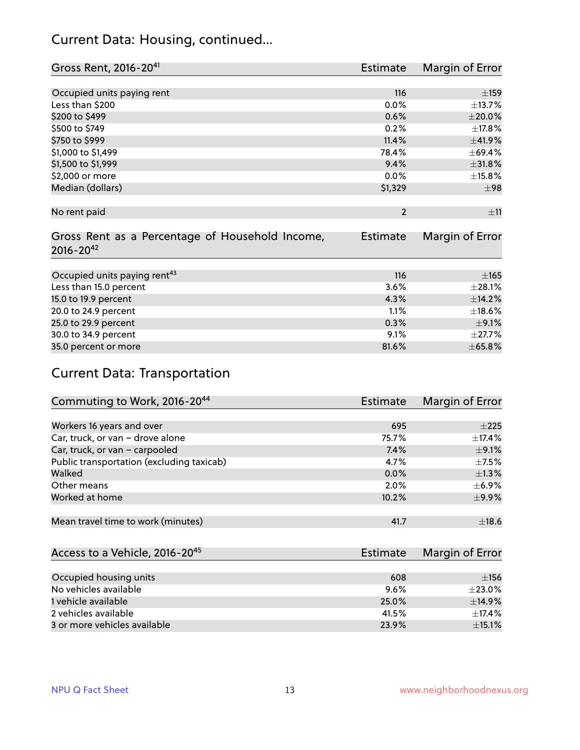### Current Data: Housing, continued...

| Gross Rent, 2016-20 <sup>41</sup>               | <b>Estimate</b> | Margin of Error |
|-------------------------------------------------|-----------------|-----------------|
|                                                 |                 |                 |
| Occupied units paying rent                      | 116             | ±159            |
| Less than \$200                                 | 0.0%            | ±13.7%          |
| \$200 to \$499                                  | 0.6%            | $\pm 20.0\%$    |
| \$500 to \$749                                  | 0.2%            | ±17.8%          |
| \$750 to \$999                                  | 11.4%           | ±41.9%          |
| \$1,000 to \$1,499                              | 78.4%           | ±69.4%          |
| \$1,500 to \$1,999                              | 9.4%            | ±31.8%          |
| \$2,000 or more                                 | 0.0%            | $\pm$ 15.8%     |
| Median (dollars)                                | \$1,329         | $\pm$ 98        |
|                                                 |                 |                 |
| No rent paid                                    | $\overline{2}$  | ±11             |
|                                                 |                 |                 |
| Gross Rent as a Percentage of Household Income, | <b>Estimate</b> | Margin of Error |
| $2016 - 20^{42}$                                |                 |                 |
|                                                 |                 |                 |
| Occupied units paying rent <sup>43</sup>        | 116             | $\pm 165$       |
| Less than 15.0 percent                          | 3.6%            | ±28.1%          |
| 15.0 to 19.9 percent                            | 4.3%            | ±14.2%          |
| 20.0 to 24.9 percent                            | 1.1%            | ±18.6%          |
| 25.0 to 29.9 percent                            | 0.3%            | $\pm$ 9.1%      |
| 30.0 to 34.9 percent                            | 9.1%            | $\pm$ 27.7%     |
| 35.0 percent or more                            | 81.6%           | $\pm 65.8\%$    |

# Current Data: Transportation

| Commuting to Work, 2016-20 <sup>44</sup>  | Estimate | Margin of Error |
|-------------------------------------------|----------|-----------------|
|                                           |          |                 |
| Workers 16 years and over                 | 695      | $+225$          |
| Car, truck, or van - drove alone          | 75.7%    | $\pm$ 17.4%     |
| Car, truck, or van - carpooled            | 7.4%     | $\pm$ 9.1%      |
| Public transportation (excluding taxicab) | 4.7%     | $+7.5%$         |
| Walked                                    | 0.0%     | $\pm 1.3\%$     |
| Other means                               | 2.0%     | $\pm$ 6.9%      |
| Worked at home                            | 10.2%    | $\pm$ 9.9%      |
|                                           |          |                 |
| Mean travel time to work (minutes)        | 41.7     | ±18.6           |

| Access to a Vehicle, 2016-20 <sup>45</sup> | Estimate | Margin of Error |
|--------------------------------------------|----------|-----------------|
|                                            |          |                 |
| Occupied housing units                     | 608      | ±156            |
| No vehicles available                      | 9.6%     | $+23.0%$        |
| 1 vehicle available                        | 25.0%    | ±14.9%          |
| 2 vehicles available                       | 41.5%    | $\pm$ 17.4%     |
| 3 or more vehicles available               | 23.9%    | $\pm$ 15.1%     |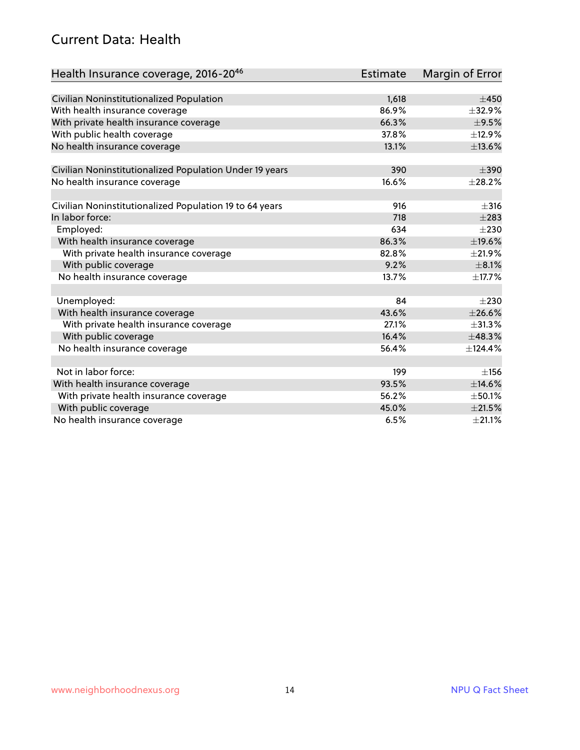#### Current Data: Health

| Health Insurance coverage, 2016-2046                    | <b>Estimate</b> | Margin of Error |
|---------------------------------------------------------|-----------------|-----------------|
|                                                         |                 |                 |
| Civilian Noninstitutionalized Population                | 1,618           | $\pm 450$       |
| With health insurance coverage                          | 86.9%           | ±32.9%          |
| With private health insurance coverage                  | 66.3%           | $\pm$ 9.5%      |
| With public health coverage                             | 37.8%           | ±12.9%          |
| No health insurance coverage                            | 13.1%           | ±13.6%          |
| Civilian Noninstitutionalized Population Under 19 years | 390             | $\pm$ 390       |
| No health insurance coverage                            | 16.6%           | ±28.2%          |
|                                                         |                 |                 |
| Civilian Noninstitutionalized Population 19 to 64 years | 916             | $\pm$ 316       |
| In labor force:                                         | 718             | $\pm 283$       |
| Employed:                                               | 634             | $\pm 230$       |
| With health insurance coverage                          | 86.3%           | ±19.6%          |
| With private health insurance coverage                  | 82.8%           | $\pm 21.9\%$    |
| With public coverage                                    | 9.2%            | $\pm$ 8.1%      |
| No health insurance coverage                            | 13.7%           | ±17.7%          |
|                                                         |                 |                 |
| Unemployed:                                             | 84              | $\pm 230$       |
| With health insurance coverage                          | 43.6%           | ±26.6%          |
| With private health insurance coverage                  | 27.1%           | ±31.3%          |
| With public coverage                                    | 16.4%           | ±48.3%          |
| No health insurance coverage                            | 56.4%           | ±124.4%         |
|                                                         |                 |                 |
| Not in labor force:                                     | 199             | ±156            |
| With health insurance coverage                          | 93.5%           | ±14.6%          |
| With private health insurance coverage                  | 56.2%           | $\pm$ 50.1%     |
| With public coverage                                    | 45.0%           | $\pm 21.5\%$    |
| No health insurance coverage                            | 6.5%            | $\pm 21.1\%$    |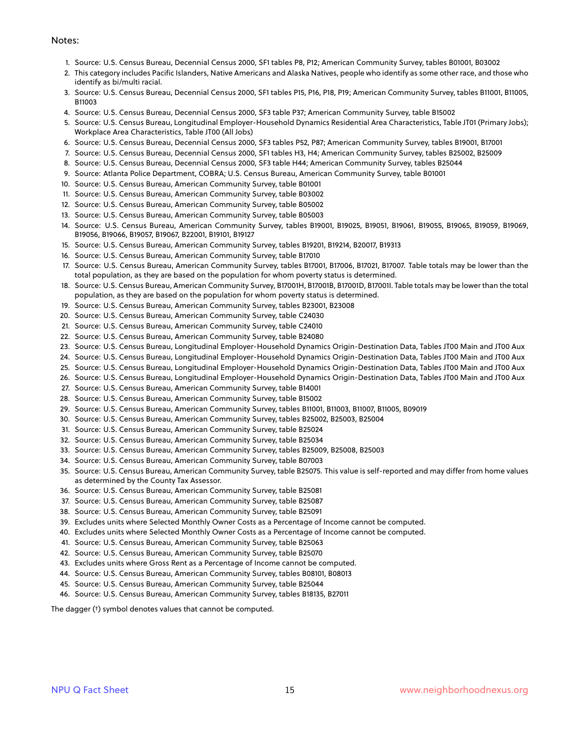#### Notes:

- 1. Source: U.S. Census Bureau, Decennial Census 2000, SF1 tables P8, P12; American Community Survey, tables B01001, B03002
- 2. This category includes Pacific Islanders, Native Americans and Alaska Natives, people who identify as some other race, and those who identify as bi/multi racial.
- 3. Source: U.S. Census Bureau, Decennial Census 2000, SF1 tables P15, P16, P18, P19; American Community Survey, tables B11001, B11005, B11003
- 4. Source: U.S. Census Bureau, Decennial Census 2000, SF3 table P37; American Community Survey, table B15002
- 5. Source: U.S. Census Bureau, Longitudinal Employer-Household Dynamics Residential Area Characteristics, Table JT01 (Primary Jobs); Workplace Area Characteristics, Table JT00 (All Jobs)
- 6. Source: U.S. Census Bureau, Decennial Census 2000, SF3 tables P52, P87; American Community Survey, tables B19001, B17001
- 7. Source: U.S. Census Bureau, Decennial Census 2000, SF1 tables H3, H4; American Community Survey, tables B25002, B25009
- 8. Source: U.S. Census Bureau, Decennial Census 2000, SF3 table H44; American Community Survey, tables B25044
- 9. Source: Atlanta Police Department, COBRA; U.S. Census Bureau, American Community Survey, table B01001
- 10. Source: U.S. Census Bureau, American Community Survey, table B01001
- 11. Source: U.S. Census Bureau, American Community Survey, table B03002
- 12. Source: U.S. Census Bureau, American Community Survey, table B05002
- 13. Source: U.S. Census Bureau, American Community Survey, table B05003
- 14. Source: U.S. Census Bureau, American Community Survey, tables B19001, B19025, B19051, B19061, B19055, B19065, B19059, B19069, B19056, B19066, B19057, B19067, B22001, B19101, B19127
- 15. Source: U.S. Census Bureau, American Community Survey, tables B19201, B19214, B20017, B19313
- 16. Source: U.S. Census Bureau, American Community Survey, table B17010
- 17. Source: U.S. Census Bureau, American Community Survey, tables B17001, B17006, B17021, B17007. Table totals may be lower than the total population, as they are based on the population for whom poverty status is determined.
- 18. Source: U.S. Census Bureau, American Community Survey, B17001H, B17001B, B17001D, B17001I. Table totals may be lower than the total population, as they are based on the population for whom poverty status is determined.
- 19. Source: U.S. Census Bureau, American Community Survey, tables B23001, B23008
- 20. Source: U.S. Census Bureau, American Community Survey, table C24030
- 21. Source: U.S. Census Bureau, American Community Survey, table C24010
- 22. Source: U.S. Census Bureau, American Community Survey, table B24080
- 23. Source: U.S. Census Bureau, Longitudinal Employer-Household Dynamics Origin-Destination Data, Tables JT00 Main and JT00 Aux
- 24. Source: U.S. Census Bureau, Longitudinal Employer-Household Dynamics Origin-Destination Data, Tables JT00 Main and JT00 Aux
- 25. Source: U.S. Census Bureau, Longitudinal Employer-Household Dynamics Origin-Destination Data, Tables JT00 Main and JT00 Aux
- 26. Source: U.S. Census Bureau, Longitudinal Employer-Household Dynamics Origin-Destination Data, Tables JT00 Main and JT00 Aux
- 27. Source: U.S. Census Bureau, American Community Survey, table B14001
- 28. Source: U.S. Census Bureau, American Community Survey, table B15002
- 29. Source: U.S. Census Bureau, American Community Survey, tables B11001, B11003, B11007, B11005, B09019
- 30. Source: U.S. Census Bureau, American Community Survey, tables B25002, B25003, B25004
- 31. Source: U.S. Census Bureau, American Community Survey, table B25024
- 32. Source: U.S. Census Bureau, American Community Survey, table B25034
- 33. Source: U.S. Census Bureau, American Community Survey, tables B25009, B25008, B25003
- 34. Source: U.S. Census Bureau, American Community Survey, table B07003
- 35. Source: U.S. Census Bureau, American Community Survey, table B25075. This value is self-reported and may differ from home values as determined by the County Tax Assessor.
- 36. Source: U.S. Census Bureau, American Community Survey, table B25081
- 37. Source: U.S. Census Bureau, American Community Survey, table B25087
- 38. Source: U.S. Census Bureau, American Community Survey, table B25091
- 39. Excludes units where Selected Monthly Owner Costs as a Percentage of Income cannot be computed.
- 40. Excludes units where Selected Monthly Owner Costs as a Percentage of Income cannot be computed.
- 41. Source: U.S. Census Bureau, American Community Survey, table B25063
- 42. Source: U.S. Census Bureau, American Community Survey, table B25070
- 43. Excludes units where Gross Rent as a Percentage of Income cannot be computed.
- 44. Source: U.S. Census Bureau, American Community Survey, tables B08101, B08013
- 45. Source: U.S. Census Bureau, American Community Survey, table B25044
- 46. Source: U.S. Census Bureau, American Community Survey, tables B18135, B27011

The dagger (†) symbol denotes values that cannot be computed.